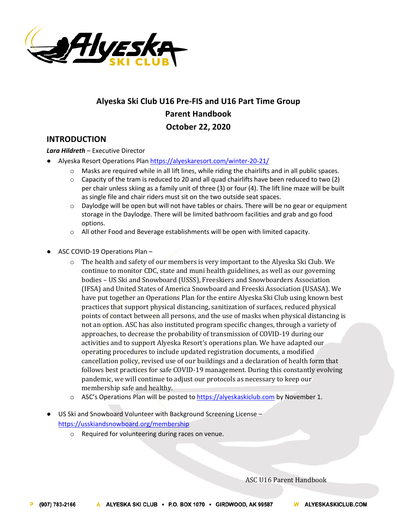

# **Alyeska Ski Club U16 Pre-FIS and U16 Part Time Group Parent Handbook October 22, 2020**

# **INTRODUCTION**

*Lara Hildreth* – Executive Director

- Alyeska Resort Operations Plan https://alyeskaresort.com/winter-20-21/
	- $\circ$  Masks are required while in all lift lines, while riding the chairlifts and in all public spaces.
	- $\circ$  Capacity of the tram is reduced to 20 and all quad chairlifts have been reduced to two (2) per chair unless skiing as a family unit of three (3) or four (4). The lift line maze will be built as single file and chair riders must sit on the two outside seat spaces.
	- $\circ$  Daylodge will be open but will not have tables or chairs. There will be no gear or equipment storage in the Daylodge. There will be limited bathroom facilities and grab and go food options.
	- $\circ$  All other Food and Beverage establishments will be open with limited capacity.
- ASC COVID-19 Operations Plan
	- $\circ$  The health and safety of our members is very important to the Alyeska Ski Club. We continue to monitor CDC, state and muni health guidelines, as well as our governing bodies - US Ski and Snowboard (USSS), Freeskiers and Snowboarders Association (IFSA) and United States of America Snowboard and Freeski Association (USASA). We have put together an Operations Plan for the entire Alyeska Ski Club using known best practices that support physical distancing, sanitization of surfaces, reduced physical points of contact between all persons, and the use of masks when physical distancing is not an option. ASC has also instituted program specific changes, through a variety of approaches, to decrease the probability of transmission of COVID-19 during our activities and to support Alyeska Resort's operations plan. We have adapted our operating procedures to include updated registration documents, a modified cancellation policy, revised use of our buildings and a declaration of health form that follows best practices for safe COVID-19 management. During this constantly evolving pandemic, we will continue to adjust our protocols as necessary to keep our membership safe and healthy.
	- $\circ$  ASC's Operations Plan will be posted to https://alyeskaskiclub.com by November 1.
- US Ski and Snowboard Volunteer with Background Screening License https://usskiandsnowboard.org/membership
	- o Required for volunteering during races on venue.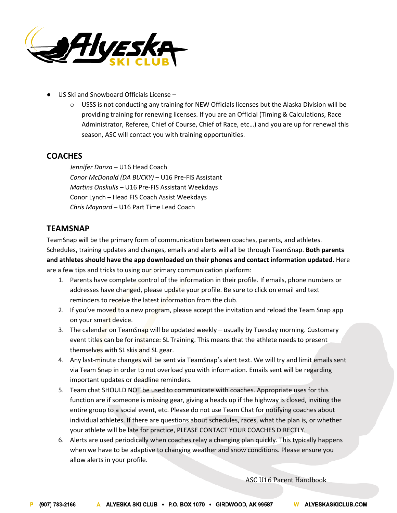

- US Ski and Snowboard Officials License  $-$ 
	- $\circ$  USSS is not conducting any training for NEW Officials licenses but the Alaska Division will be providing training for renewing licenses. If you are an Official (Timing & Calculations, Race Administrator, Referee, Chief of Course, Chief of Race, etc…) and you are up for renewal this season, ASC will contact you with training opportunities.

# **COACHES**

*Jennifer Danza* – U16 Head Coach *Conor McDonald (DA BUCKY) –* U16 Pre-FIS Assistant *Martins Onskulis* – U16 Pre-FIS Assistant Weekdays Conor Lynch – Head FIS Coach Assist Weekdays *Chris Maynard –* U16 Part Time Lead Coach

# **TEAMSNAP**

TeamSnap will be the primary form of communication between coaches, parents, and athletes. Schedules, training updates and changes, emails and alerts will all be through TeamSnap. **Both parents and athletes should have the app downloaded on their phones and contact information updated.** Here are a few tips and tricks to using our primary communication platform:

- 1. Parents have complete control of the information in their profile. If emails, phone numbers or addresses have changed, please update your profile. Be sure to click on email and text reminders to receive the latest information from the club.
- 2. If you've moved to a new program, please accept the invitation and reload the Team Snap app on your smart device.
- 3. The calendar on TeamSnap will be updated weekly usually by Tuesday morning. Customary event titles can be for instance: SL Training. This means that the athlete needs to present themselves with SL skis and SL gear.
- 4. Any last-minute changes will be sent via TeamSnap's alert text. We will try and limit emails sent via Team Snap in order to not overload you with information. Emails sent will be regarding important updates or deadline reminders.
- 5. Team chat SHOULD NOT be used to communicate with coaches. Appropriate uses for this function are if someone is missing gear, giving a heads up if the highway is closed, inviting the entire group to a social event, etc. Please do not use Team Chat for notifying coaches about individual athletes. If there are questions about schedules, races, what the plan is, or whether your athlete will be late for practice, PLEASE CONTACT YOUR COACHES DIRECTLY.
- 6. Alerts are used periodically when coaches relay a changing plan quickly. This typically happens when we have to be adaptive to changing weather and snow conditions. Please ensure you allow alerts in your profile.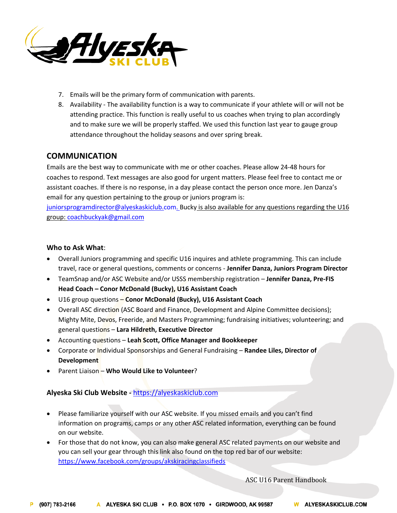

- 7. Emails will be the primary form of communication with parents.
- 8. Availability The availability function is a way to communicate if your athlete will or will not be attending practice. This function is really useful to us coaches when trying to plan accordingly and to make sure we will be properly staffed. We used this function last year to gauge group attendance throughout the holiday seasons and over spring break.

# **COMMUNICATION**

Emails are the best way to communicate with me or other coaches. Please allow 24-48 hours for coaches to respond. Text messages are also good for urgent matters. Please feel free to contact me or assistant coaches. If there is no response, in a day please contact the person once more. Jen Danza's email for any question pertaining to the group or juniors program is: juniorsprogramdirector@alyeskaskiclub.com. Bucky is also available for any questions regarding the U16

group: coachbuckyak@gmail.com

# **Who to Ask What**:

- Overall Juniors programming and specific U16 inquires and athlete programming. This can include travel, race or general questions, comments or concerns - **Jennifer Danza, Juniors Program Director**
- TeamSnap and/or ASC Website and/or USSS membership registration **Jennifer Danza, Pre-FIS Head Coach – Conor McDonald (Bucky), U16 Assistant Coach**
- U16 group questions **Conor McDonald (Bucky), U16 Assistant Coach**
- Overall ASC direction (ASC Board and Finance, Development and Alpine Committee decisions); Mighty Mite, Devos, Freeride, and Masters Programming; fundraising initiatives; volunteering; and general questions – **Lara Hildreth, Executive Director**
- Accounting questions **Leah Scott, Office Manager and Bookkeeper**
- Corporate or Individual Sponsorships and General Fundraising **Randee Liles, Director of Development**
- Parent Liaison **Who Would Like to Volunteer**?

# **Alyeska Ski Club Website** *-* https://alyeskaskiclub.com

- Please familiarize yourself with our ASC website. If you missed emails and you can't find information on programs, camps or any other ASC related information, everything can be found on our website.
- For those that do not know, you can also make general ASC related payments on our website and you can sell your gear through this link also found on the top red bar of our website: https://www.facebook.com/groups/akskiracingclassifieds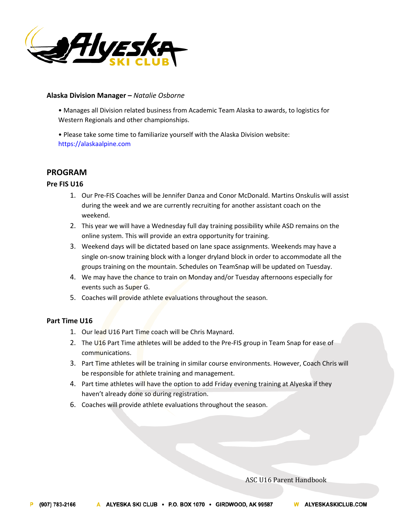

### **Alaska Division Manager –** *Natalie Osborne*

• Manages all Division related business from Academic Team Alaska to awards, to logistics for Western Regionals and other championships.

• Please take some time to familiarize yourself with the Alaska Division website: https://alaskaalpine.com

# **PROGRAM**

# **Pre FIS U16**

- 1. Our Pre-FIS Coaches will be Jennifer Danza and Conor McDonald. Martins Onskulis will assist during the week and we are currently recruiting for another assistant coach on the weekend.
- 2. This year we will have a Wednesday full day training possibility while ASD remains on the online system. This will provide an extra opportunity for training.
- 3. Weekend days will be dictated based on lane space assignments. Weekends may have a single on-snow training block with a longer dryland block in order to accommodate all the groups training on the mountain. Schedules on TeamSnap will be updated on Tuesday.
- 4. We may have the chance to train on Monday and/or Tuesday afternoons especially for events such as Super G.
- 5. Coaches will provide athlete evaluations throughout the season.

# **Part Time U16**

- 1. Our lead U16 Part Time coach will be Chris Maynard.
- 2. The U16 Part Time athletes will be added to the Pre-FIS group in Team Snap for ease of communications.
- 3. Part Time athletes will be training in similar course environments. However, Coach Chris will be responsible for athlete training and management.
- 4. Part time athletes will have the option to add Friday evening training at Alyeska if they haven't already done so during registration.
- 6. Coaches will provide athlete evaluations throughout the season.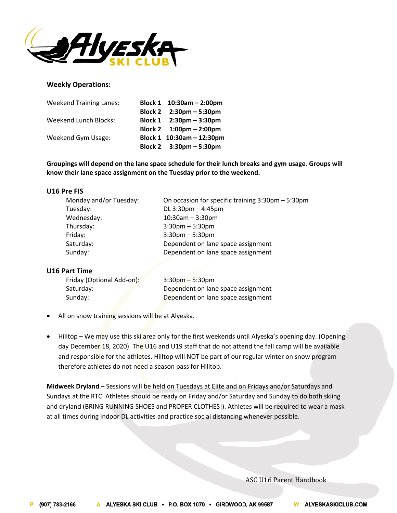

### **Weekly Operations:**

| <b>Weekend Training Lanes:</b> | Block 1 10:30am - 2:00pm                  |
|--------------------------------|-------------------------------------------|
|                                | Block 2 2:30pm - 5:30pm                   |
| Weekend Lunch Blocks:          | Block 1 $2:30 \text{pm} - 3:30 \text{pm}$ |
|                                | Block 2 $1:00 \text{pm} - 2:00 \text{pm}$ |
| Weekend Gym Usage:             | Block 1 10:30am - 12:30pm                 |
|                                | Block 2 3:30pm - 5:30pm                   |

**Groupings will depend on the lane space schedule for their lunch breaks and gym usage. Groups will know their lane space assignment on the Tuesday prior to the weekend.**

#### **U16 Pre FIS**

| Monday and/or Tuesday: | On occasion for specific training 3:30pm - 5:30pm |
|------------------------|---------------------------------------------------|
| Tuesday:               | DL 3:30pm - 4:45pm                                |
| Wednesday:             | $10:30$ am $-3:30$ pm                             |
| Thursday:              | $3:30$ pm $-5:30$ pm                              |
| Friday:                | $3:30$ pm $-5:30$ pm                              |
| Saturday:              | Dependent on lane space assignment                |
| Sunday:                | Dependent on lane space assignment                |
|                        |                                                   |

### **U16 Part Time**

| Friday (Optional Add-on): | $3:30$ pm – 5:30pm                 |
|---------------------------|------------------------------------|
| Saturday:                 | Dependent on lane space assignment |
| Sunday:                   | Dependent on lane space assignment |

- All on snow training sessions will be at Alyeska.
- Hilltop We may use this ski area only for the first weekends until Alyeska's opening day. (Opening day December 18, 2020). The U16 and U19 staff that do not attend the fall camp will be available and responsible for the athletes. Hilltop will NOT be part of our regular winter on snow program therefore athletes do not need a season pass for Hilltop.

**Midweek Dryland** – Sessions will be held on Tuesdays at Elite and on Fridays and/or Saturdays and Sundays at the RTC. Athletes should be ready on Friday and/or Saturday and Sunday to do both skiing and dryland (BRING RUNNING SHOES and PROPER CLOTHES!). Athletes will be required to wear a mask at all times during indoor DL activities and practice social distancing whenever possible.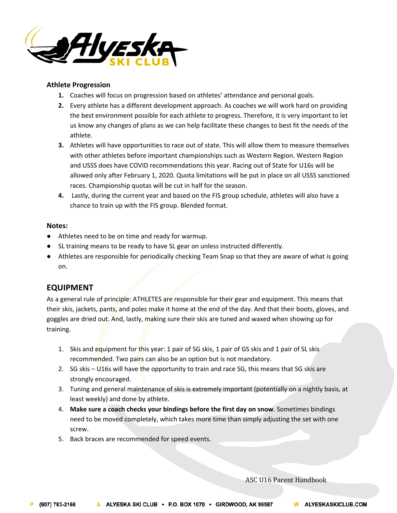

# **Athlete Progression**

- **1.** Coaches will focus on progression based on athletes' attendance and personal goals.
- **2.** Every athlete has a different development approach. As coaches we will work hard on providing the best environment possible for each athlete to progress. Therefore, it is very important to let us know any changes of plans as we can help facilitate these changes to best fit the needs of the athlete.
- **3.** Athletes will have opportunities to race out of state. This will allow them to measure themselves with other athletes before important championships such as Western Region. Western Region and USSS does have COVID recommendations this year. Racing out of State for U16s will be allowed only after February 1, 2020. Quota limitations will be put in place on all USSS sanctioned races. Championship quotas will be cut in half for the season.
- **4.** Lastly, during the current year and based on the FIS group schedule, athletes will also have a chance to train up with the FIS group. Blended format.

### **Notes:**

- Athletes need to be on time and ready for warmup.
- SL training means to be ready to have SL gear on unless instructed differently.
- Athletes are responsible for periodically checking Team Snap so that they are aware of what is going on.

# **EQUIPMENT**

As a general rule of principle: ATHLETES are responsible for their gear and equipment. This means that their skis, jackets, pants, and poles make it home at the end of the day. And that their boots, gloves, and goggles are dried out. And, lastly, making sure their skis are tuned and waxed when showing up for training.

- 1. Skis and equipment for this year: 1 pair of SG skis, 1 pair of GS skis and 1 pair of SL skis recommended. Two pairs can also be an option but is not mandatory.
- 2. SG skis U16s will have the opportunity to train and race SG, this means that SG skis are strongly encouraged.
- 3. Tuning and general maintenance of skis is extremely important (potentially on a nightly basis, at least weekly) and done by athlete.
- 4. **Make sure a coach checks your bindings before the first day on snow**. Sometimes bindings need to be moved completely, which takes more time than simply adjusting the set with one screw.
- 5. Back braces are recommended for speed events.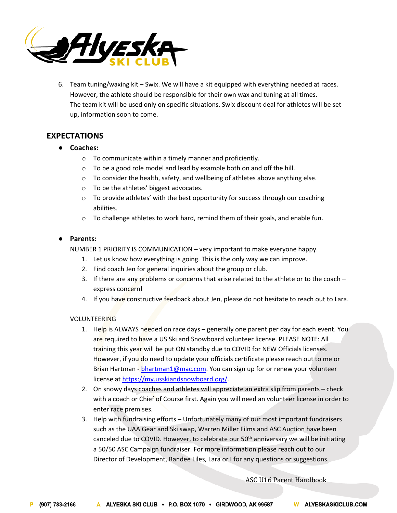

6. Team tuning/waxing kit – Swix. We will have a kit equipped with everything needed at races. However, the athlete should be responsible for their own wax and tuning at all times. The team kit will be used only on specific situations. Swix discount deal for athletes will be set up, information soon to come.

# **EXPECTATIONS**

- **Coaches:**
	- o To communicate within a timely manner and proficiently.
	- o To be a good role model and lead by example both on and off the hill.
	- o To consider the health, safety, and wellbeing of athletes above anything else.
	- o To be the athletes' biggest advocates.
	- $\circ$  To provide athletes' with the best opportunity for success through our coaching abilities.
	- $\circ$  To challenge athletes to work hard, remind them of their goals, and enable fun.

# ● **Parents:**

NUMBER 1 PRIORITY IS COMMUNICATION – very important to make everyone happy.

- 1. Let us know how everything is going. This is the only way we can improve.
- 2. Find coach Jen for general inquiries about the group or club.
- 3. If there are any problems or concerns that arise related to the athlete or to the coach express concern!
- 4. If you have constructive feedback about Jen, please do not hesitate to reach out to Lara.

# VOLUNTEERING

- 1. Help is ALWAYS needed on race days generally one parent per day for each event. You are required to have a US Ski and Snowboard volunteer license. PLEASE NOTE: All training this year will be put ON standby due to COVID for NEW Officials licenses. However, if you do need to update your officials certificate please reach out to me or Brian Hartman - bhartman1@mac.com. You can sign up for or renew your volunteer license at https://my.usskiandsnowboard.org/.
- 2. On snowy days coaches and athletes will appreciate an extra slip from parents check with a coach or Chief of Course first. Again you will need an volunteer license in order to enter race premises.
- 3. Help with fundraising efforts Unfortunately many of our most important fundraisers such as the UAA Gear and Ski swap, Warren Miller Films and ASC Auction have been canceled due to COVID. However, to celebrate our 50<sup>th</sup> anniversary we will be initiating a 50/50 ASC Campaign fundraiser. For more information please reach out to our Director of Development, Randee Liles, Lara or I for any questions or suggestions.